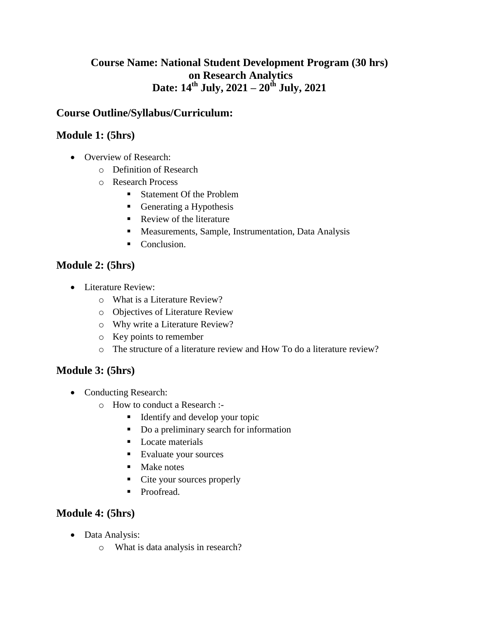# **Course Name: National Student Development Program (30 hrs) on Research Analytics Date: 14th July, 2021 – 20th July, 2021**

# **Course Outline/Syllabus/Curriculum:**

#### **Module 1: (5hrs)**

- Overview of Research:
	- o Definition of Research
	- o Research Process
		- Statement Of the Problem
		- Generating a Hypothesis
		- Review of the literature
		- Measurements, Sample, Instrumentation, Data Analysis
		- Conclusion.

#### **Module 2: (5hrs)**

- Literature Review:
	- o What is a Literature Review?
	- o Objectives of Literature Review
	- o Why write a Literature Review?
	- o Key points to remember
	- o The structure of a literature review and How To do a literature review?

#### **Module 3: (5hrs)**

- Conducting Research:
	- o How to conduct a Research :-
		- Identify and develop your topic
		- Do a preliminary search for information
		- **Locate materials**
		- Evaluate your sources
		- Make notes
		- Cite your sources properly
		- **Proofread.**

#### **Module 4: (5hrs)**

- Data Analysis:
	- o What is data analysis in research?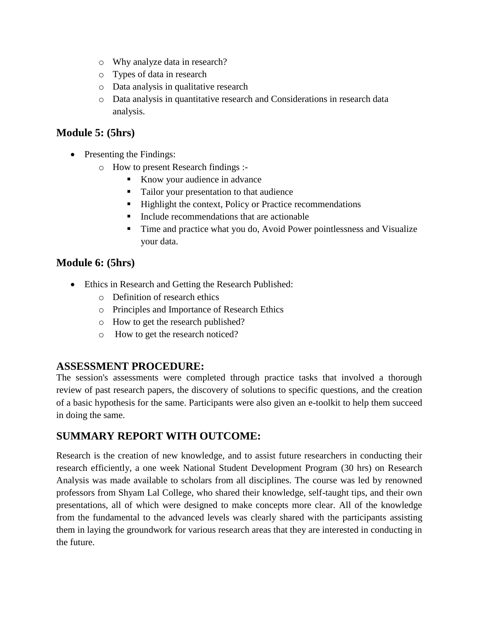- o Why analyze data in research?
- o Types of data in research
- o Data analysis in qualitative research
- o Data analysis in quantitative research and Considerations in research data analysis.

#### **Module 5: (5hrs)**

- Presenting the Findings:
	- o How to present Research findings :-
		- Know your audience in advance
		- Tailor your presentation to that audience
		- Highlight the context, Policy or Practice recommendations
		- $\blacksquare$  Include recommendations that are actionable
		- Time and practice what you do, Avoid Power pointlessness and Visualize your data.

#### **Module 6: (5hrs)**

- Ethics in Research and Getting the Research Published:
	- o Definition of research ethics
	- o Principles and Importance of Research Ethics
	- o How to get the research published?
	- o How to get the research noticed?

#### **ASSESSMENT PROCEDURE:**

The session's assessments were completed through practice tasks that involved a thorough review of past research papers, the discovery of solutions to specific questions, and the creation of a basic hypothesis for the same. Participants were also given an e-toolkit to help them succeed in doing the same.

# **SUMMARY REPORT WITH OUTCOME:**

Research is the creation of new knowledge, and to assist future researchers in conducting their research efficiently, a one week National Student Development Program (30 hrs) on Research Analysis was made available to scholars from all disciplines. The course was led by renowned professors from Shyam Lal College, who shared their knowledge, self-taught tips, and their own presentations, all of which were designed to make concepts more clear. All of the knowledge from the fundamental to the advanced levels was clearly shared with the participants assisting them in laying the groundwork for various research areas that they are interested in conducting in the future.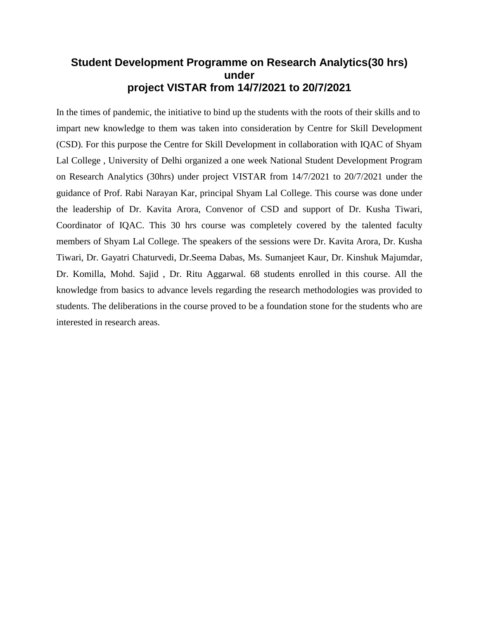### **Student Development Programme on Research Analytics(30 hrs) under project VISTAR from 14/7/2021 to 20/7/2021**

In the times of pandemic, the initiative to bind up the students with the roots of their skills and to impart new knowledge to them was taken into consideration by Centre for Skill Development (CSD). For this purpose the Centre for Skill Development in collaboration with IQAC of Shyam Lal College , University of Delhi organized a one week National Student Development Program on Research Analytics (30hrs) under project VISTAR from 14/7/2021 to 20/7/2021 under the guidance of Prof. Rabi Narayan Kar, principal Shyam Lal College. This course was done under the leadership of Dr. Kavita Arora, Convenor of CSD and support of Dr. Kusha Tiwari, Coordinator of IQAC. This 30 hrs course was completely covered by the talented faculty members of Shyam Lal College. The speakers of the sessions were Dr. Kavita Arora, Dr. Kusha Tiwari, Dr. Gayatri Chaturvedi, Dr.Seema Dabas, Ms. Sumanjeet Kaur, Dr. Kinshuk Majumdar, Dr. Komilla, Mohd. Sajid , Dr. Ritu Aggarwal. 68 students enrolled in this course. All the knowledge from basics to advance levels regarding the research methodologies was provided to students. The deliberations in the course proved to be a foundation stone for the students who are interested in research areas.